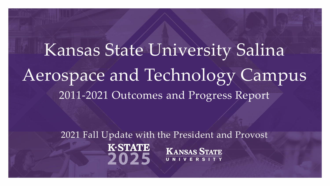Kansas State University Salina Aerospace and Technology Campus 2011-2021 Outcomes and Progress Report

> 2021 Fall Update with the President and Provost**K-STATE KANSAS STATE** 2025 UNIVERSITY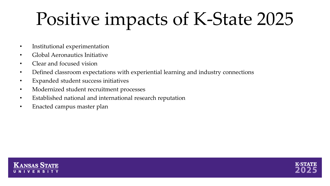## Positive impacts of K-State 2025

- Institutional experimentation
- Global Aeronautics Initiative
- Clear and focused vision
- Defined classroom expectations with experiential learning and industry connections
- Expanded student success initiatives
- Modernized student recruitment processes
- Established national and international research reputation
- Enacted campus master plan



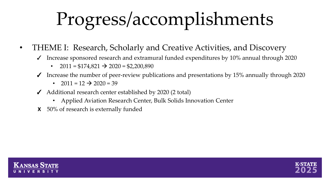- THEME I: Research, Scholarly and Creative Activities, and Discovery
	- Increase sponsored research and extramural funded expenditures by 10% annual through 2020
		- 2011 = \$174,821  $\rightarrow$  2020 = \$2,200,890
	- $\blacktriangledown$  Increase the number of peer-review publications and presentations by 15% annually through 2020
		- 2011 =  $12 \div 2020 = 39$
	- ✓ Additional research center established by 2020 (2 total)
		- Applied Aviation Research Center, Bulk Solids Innovation Center
	- **X** 50% of research is externally funded



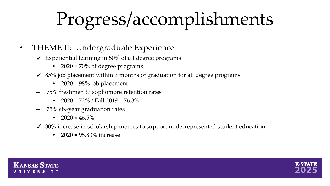#### • THEME II: Undergraduate Experience

- $\angle$  Experiential learning in 50% of all degree programs
	- 2020 = 70% of degree programs
- $\checkmark$  85% job placement within 3 months of graduation for all degree programs
	- 2020 =  $98\%$  job placement
- 75% freshmen to sophomore retention rates
	- 2020 = 72% / Fall 2019 = 76.3%
- 75% six-year graduation rates
	- $2020 = 46.5\%$
- $\checkmark$  30% increase in scholarship monies to support underrepresented student education
	- $2020 = 95.83\%$  increase



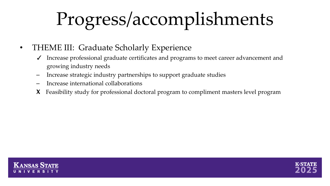- THEME III: Graduate Scholarly Experience
	- ✓ Increase professional graduate certificates and programs to meet career advancement and growing industry needs
	- Increase strategic industry partnerships to support graduate studies
	- Increase international collaborations
	- X Feasibility study for professional doctoral program to compliment masters level program



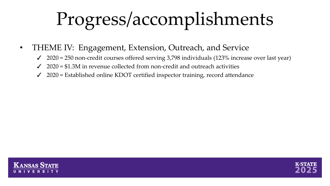- THEME IV: Engagement, Extension, Outreach, and Service
	- $\checkmark$  2020 = 250 non-credit courses offered serving 3,798 individuals (123% increase over last year)
	- $\angle$  2020 = \$1.3M in revenue collected from non-credit and outreach activities
	- ✓ 2020 = Established online KDOT certified inspector training, record attendance



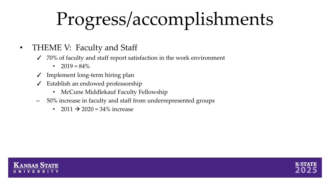- THEME V: Faculty and Staff
	- $\checkmark$  70% of faculty and staff report satisfaction in the work environment
		- $2019 = 84\%$
	- Implement long-term hiring plan
	- Establish an endowed professorship
		- McCune Middlekauf Faculty Fellowship
	- 50% increase in faculty and staff from underrepresented groups
		- 2011  $\rightarrow$  2020 = 34% increase



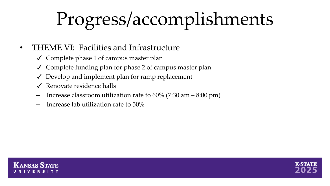#### • THEME VI: Facilities and Infrastructure

- ✓ Complete phase 1 of campus master plan
- $\checkmark$  Complete funding plan for phase 2 of campus master plan
- Develop and implement plan for ramp replacement
- Renovate residence halls
- Increase classroom utilization rate to  $60\%$  (7:30 am  $-8:00 \text{ pm}$ )
- Increase lab utilization rate to 50%



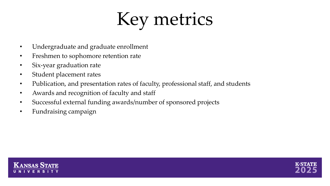#### Key metrics

- Undergraduate and graduate enrollment
- Freshmen to sophomore retention rate
- Six-year graduation rate
- Student placement rates
- Publication, and presentation rates of faculty, professional staff, and students
- Awards and recognition of faculty and staff
- Successful external funding awards/number of sponsored projects
- Fundraising campaign